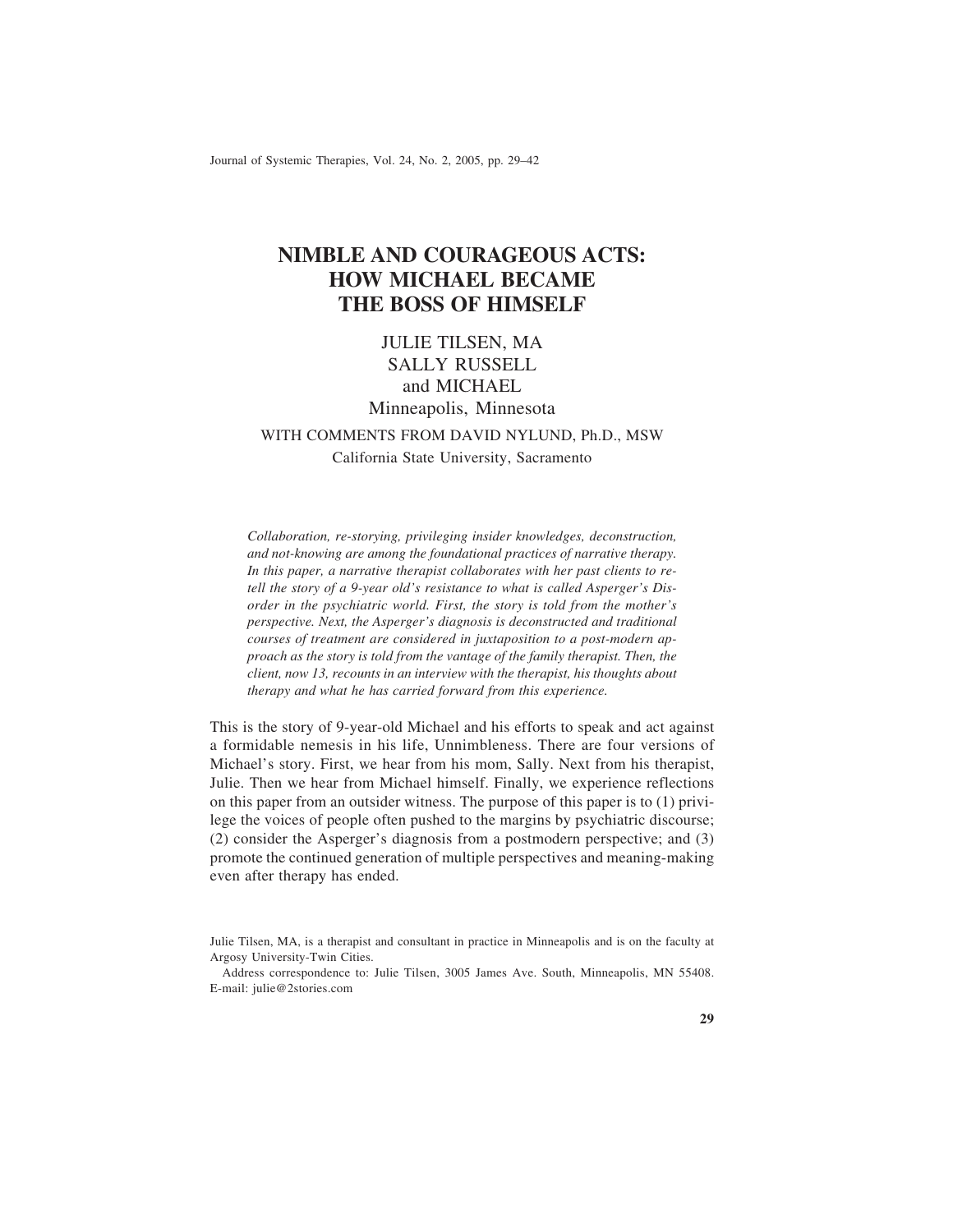Journal of Systemic Therapies, Vol. 24, No. 2, 2005, pp. 29–42

# **NIMBLE AND COURAGEOUS ACTS: HOW MICHAEL BECAME THE BOSS OF HIMSELF**

## JULIE TILSEN, MA SALLY RUSSELL and MICHAEL Minneapolis, Minnesota

## WITH COMMENTS FROM DAVID NYLUND, Ph.D., MSW California State University, Sacramento

*Collaboration, re-storying, privileging insider knowledges, deconstruction, and not-knowing are among the foundational practices of narrative therapy. In this paper, a narrative therapist collaborates with her past clients to retell the story of a 9-year old's resistance to what is called Asperger's Disorder in the psychiatric world. First, the story is told from the mother's perspective. Next, the Asperger's diagnosis is deconstructed and traditional courses of treatment are considered in juxtaposition to a post-modern approach as the story is told from the vantage of the family therapist. Then, the client, now 13, recounts in an interview with the therapist, his thoughts about therapy and what he has carried forward from this experience.*

This is the story of 9-year-old Michael and his efforts to speak and act against a formidable nemesis in his life, Unnimbleness. There are four versions of Michael's story. First, we hear from his mom, Sally. Next from his therapist, Julie. Then we hear from Michael himself. Finally, we experience reflections on this paper from an outsider witness. The purpose of this paper is to (1) privilege the voices of people often pushed to the margins by psychiatric discourse; (2) consider the Asperger's diagnosis from a postmodern perspective; and (3) promote the continued generation of multiple perspectives and meaning-making even after therapy has ended.

Julie Tilsen, MA, is a therapist and consultant in practice in Minneapolis and is on the faculty at Argosy University-Twin Cities.

Address correspondence to: Julie Tilsen, 3005 James Ave. South, Minneapolis, MN 55408. E-mail: julie@2stories.com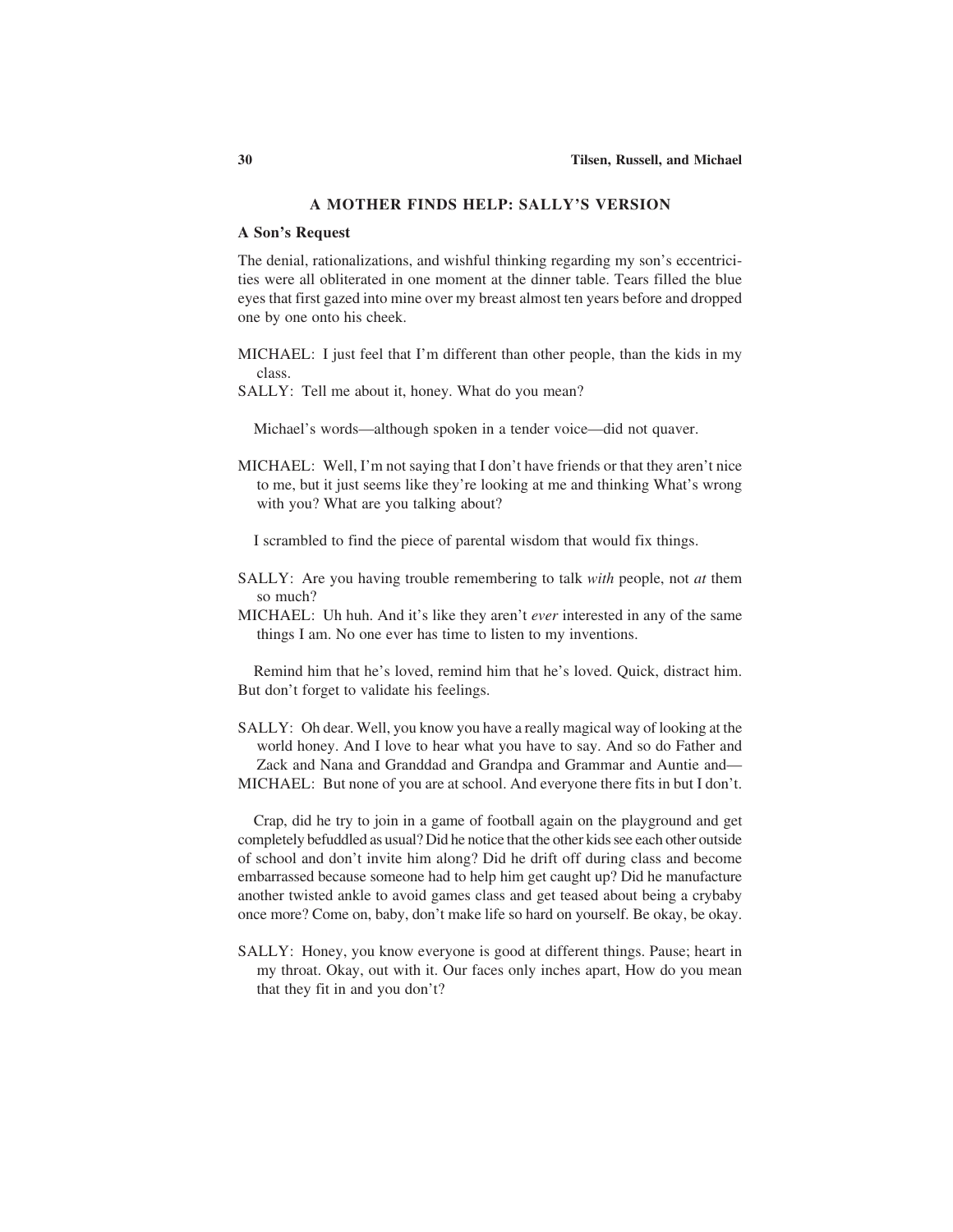#### **A MOTHER FINDS HELP: SALLY'S VERSION**

### **A Son's Request**

The denial, rationalizations, and wishful thinking regarding my son's eccentricities were all obliterated in one moment at the dinner table. Tears filled the blue eyes that first gazed into mine over my breast almost ten years before and dropped one by one onto his cheek.

- MICHAEL: I just feel that I'm different than other people, than the kids in my class.
- SALLY: Tell me about it, honey. What do you mean?

Michael's words—although spoken in a tender voice—did not quaver.

MICHAEL: Well, I'm not saying that I don't have friends or that they aren't nice to me, but it just seems like they're looking at me and thinking What's wrong with you? What are you talking about?

I scrambled to find the piece of parental wisdom that would fix things.

- SALLY: Are you having trouble remembering to talk *with* people, not *at* them so much?
- MICHAEL: Uh huh. And it's like they aren't *ever* interested in any of the same things I am. No one ever has time to listen to my inventions.

Remind him that he's loved, remind him that he's loved. Quick, distract him. But don't forget to validate his feelings.

SALLY: Oh dear. Well, you know you have a really magical way of looking at the world honey. And I love to hear what you have to say. And so do Father and Zack and Nana and Granddad and Grandpa and Grammar and Auntie and— MICHAEL: But none of you are at school. And everyone there fits in but I don't.

Crap, did he try to join in a game of football again on the playground and get completely befuddled as usual? Did he notice that the other kids see each other outside of school and don't invite him along? Did he drift off during class and become embarrassed because someone had to help him get caught up? Did he manufacture another twisted ankle to avoid games class and get teased about being a crybaby once more? Come on, baby, don't make life so hard on yourself. Be okay, be okay.

SALLY: Honey, you know everyone is good at different things. Pause; heart in my throat. Okay, out with it. Our faces only inches apart, How do you mean that they fit in and you don't?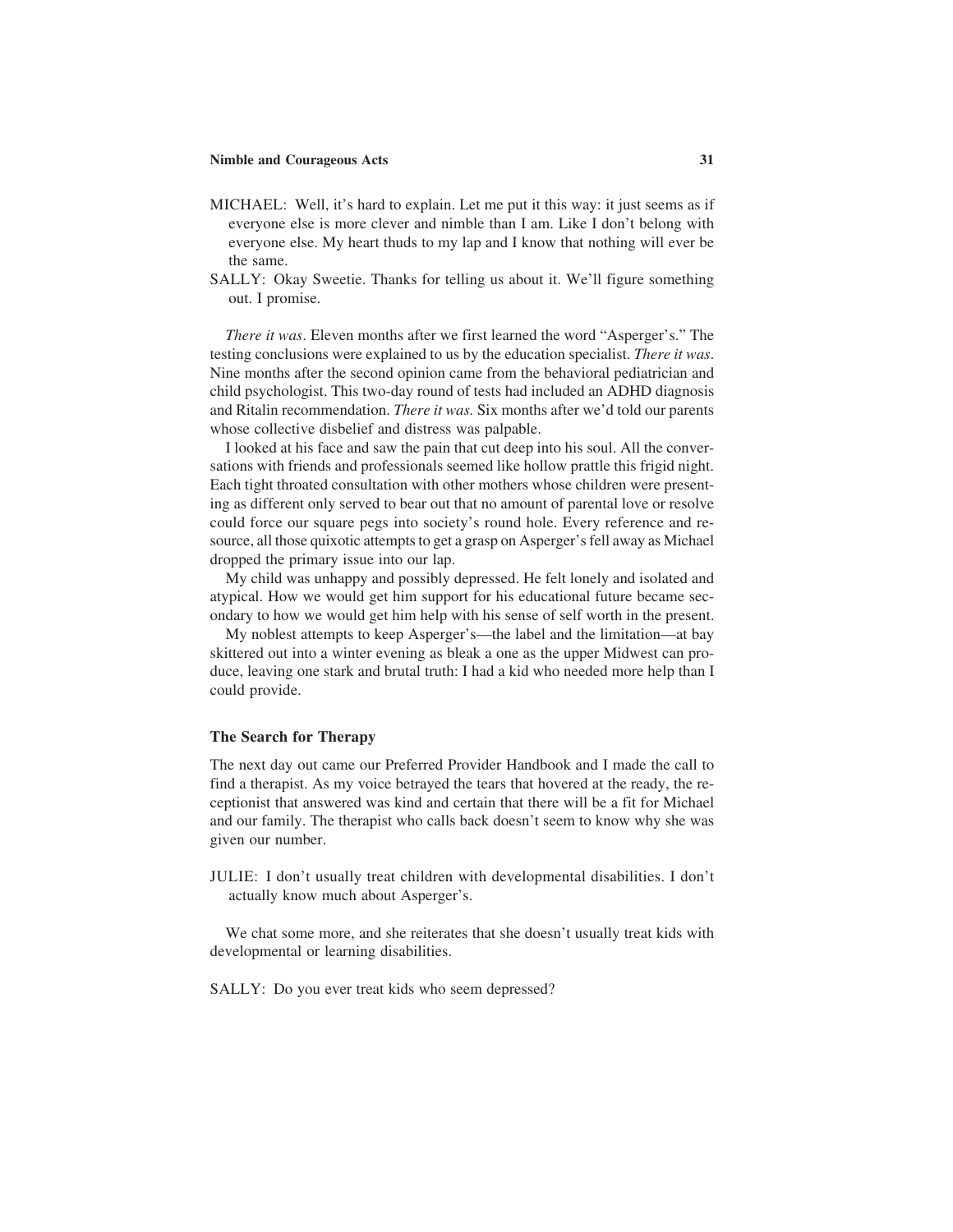- MICHAEL: Well, it's hard to explain. Let me put it this way: it just seems as if everyone else is more clever and nimble than I am. Like I don't belong with everyone else. My heart thuds to my lap and I know that nothing will ever be the same.
- SALLY: Okay Sweetie. Thanks for telling us about it. We'll figure something out. I promise.

*There it was*. Eleven months after we first learned the word "Asperger's." The testing conclusions were explained to us by the education specialist. *There it was*. Nine months after the second opinion came from the behavioral pediatrician and child psychologist. This two-day round of tests had included an ADHD diagnosis and Ritalin recommendation. *There it was.* Six months after we'd told our parents whose collective disbelief and distress was palpable.

I looked at his face and saw the pain that cut deep into his soul. All the conversations with friends and professionals seemed like hollow prattle this frigid night. Each tight throated consultation with other mothers whose children were presenting as different only served to bear out that no amount of parental love or resolve could force our square pegs into society's round hole. Every reference and resource, all those quixotic attempts to get a grasp on Asperger's fell away as Michael dropped the primary issue into our lap.

My child was unhappy and possibly depressed. He felt lonely and isolated and atypical. How we would get him support for his educational future became secondary to how we would get him help with his sense of self worth in the present.

My noblest attempts to keep Asperger's—the label and the limitation—at bay skittered out into a winter evening as bleak a one as the upper Midwest can produce, leaving one stark and brutal truth: I had a kid who needed more help than I could provide.

### **The Search for Therapy**

The next day out came our Preferred Provider Handbook and I made the call to find a therapist. As my voice betrayed the tears that hovered at the ready, the receptionist that answered was kind and certain that there will be a fit for Michael and our family. The therapist who calls back doesn't seem to know why she was given our number.

JULIE: I don't usually treat children with developmental disabilities. I don't actually know much about Asperger's.

We chat some more, and she reiterates that she doesn't usually treat kids with developmental or learning disabilities.

SALLY: Do you ever treat kids who seem depressed?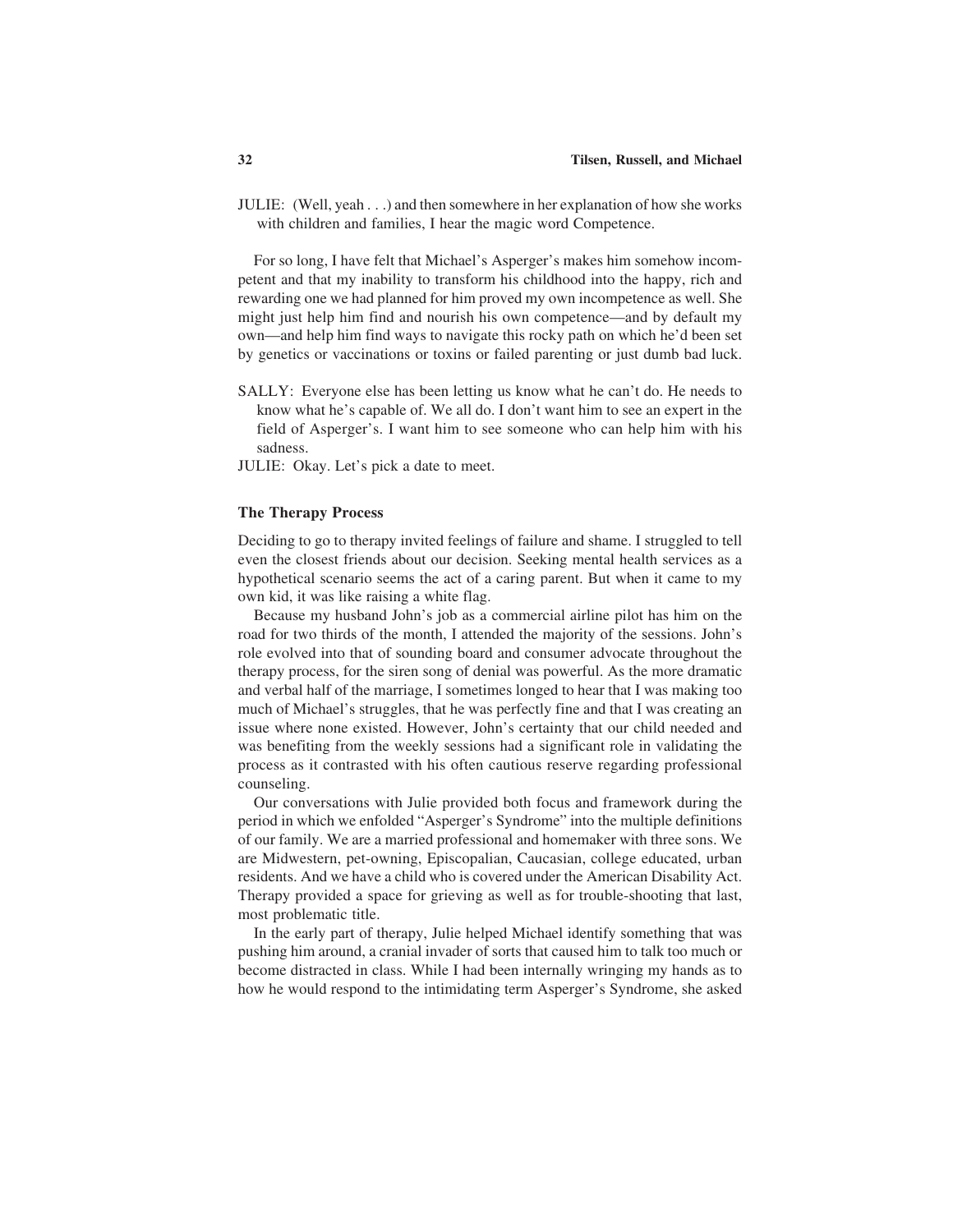JULIE: (Well, yeah . . .) and then somewhere in her explanation of how she works with children and families, I hear the magic word Competence.

For so long, I have felt that Michael's Asperger's makes him somehow incompetent and that my inability to transform his childhood into the happy, rich and rewarding one we had planned for him proved my own incompetence as well. She might just help him find and nourish his own competence—and by default my own—and help him find ways to navigate this rocky path on which he'd been set by genetics or vaccinations or toxins or failed parenting or just dumb bad luck.

- SALLY: Everyone else has been letting us know what he can't do. He needs to know what he's capable of. We all do. I don't want him to see an expert in the field of Asperger's. I want him to see someone who can help him with his sadness.
- JULIE: Okay. Let's pick a date to meet.

#### **The Therapy Process**

Deciding to go to therapy invited feelings of failure and shame. I struggled to tell even the closest friends about our decision. Seeking mental health services as a hypothetical scenario seems the act of a caring parent. But when it came to my own kid, it was like raising a white flag.

Because my husband John's job as a commercial airline pilot has him on the road for two thirds of the month, I attended the majority of the sessions. John's role evolved into that of sounding board and consumer advocate throughout the therapy process, for the siren song of denial was powerful. As the more dramatic and verbal half of the marriage, I sometimes longed to hear that I was making too much of Michael's struggles, that he was perfectly fine and that I was creating an issue where none existed. However, John's certainty that our child needed and was benefiting from the weekly sessions had a significant role in validating the process as it contrasted with his often cautious reserve regarding professional counseling.

Our conversations with Julie provided both focus and framework during the period in which we enfolded "Asperger's Syndrome" into the multiple definitions of our family. We are a married professional and homemaker with three sons. We are Midwestern, pet-owning, Episcopalian, Caucasian, college educated, urban residents. And we have a child who is covered under the American Disability Act. Therapy provided a space for grieving as well as for trouble-shooting that last, most problematic title.

In the early part of therapy, Julie helped Michael identify something that was pushing him around, a cranial invader of sorts that caused him to talk too much or become distracted in class. While I had been internally wringing my hands as to how he would respond to the intimidating term Asperger's Syndrome, she asked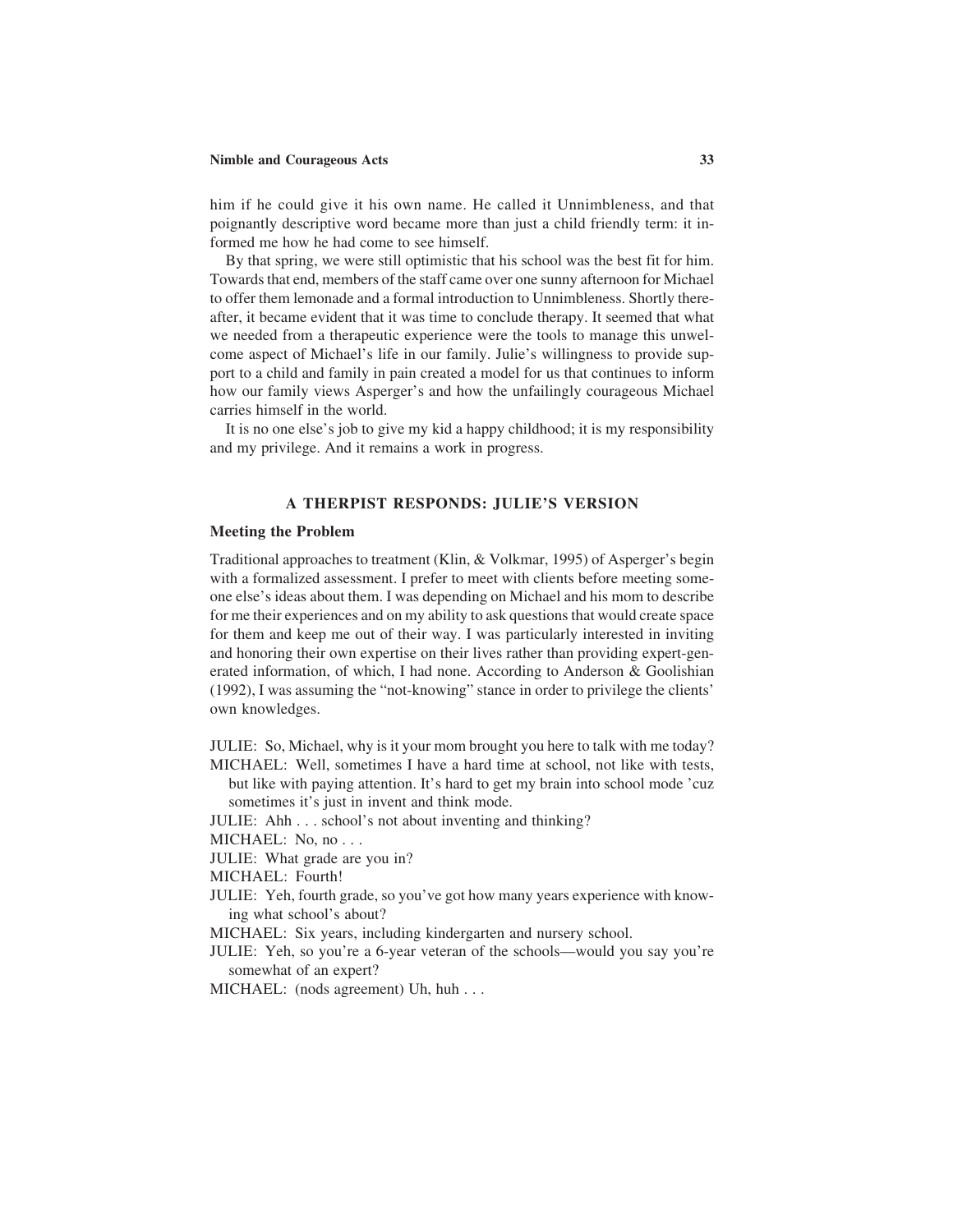him if he could give it his own name. He called it Unnimbleness, and that poignantly descriptive word became more than just a child friendly term: it informed me how he had come to see himself.

By that spring, we were still optimistic that his school was the best fit for him. Towards that end, members of the staff came over one sunny afternoon for Michael to offer them lemonade and a formal introduction to Unnimbleness. Shortly thereafter, it became evident that it was time to conclude therapy. It seemed that what we needed from a therapeutic experience were the tools to manage this unwelcome aspect of Michael's life in our family. Julie's willingness to provide support to a child and family in pain created a model for us that continues to inform how our family views Asperger's and how the unfailingly courageous Michael carries himself in the world.

It is no one else's job to give my kid a happy childhood; it is my responsibility and my privilege. And it remains a work in progress.

#### **A THERPIST RESPONDS: JULIE'S VERSION**

#### **Meeting the Problem**

Traditional approaches to treatment (Klin, & Volkmar, 1995) of Asperger's begin with a formalized assessment. I prefer to meet with clients before meeting someone else's ideas about them. I was depending on Michael and his mom to describe for me their experiences and on my ability to ask questions that would create space for them and keep me out of their way. I was particularly interested in inviting and honoring their own expertise on their lives rather than providing expert-generated information, of which, I had none. According to Anderson & Goolishian (1992), I was assuming the "not-knowing" stance in order to privilege the clients' own knowledges.

JULIE: So, Michael, why is it your mom brought you here to talk with me today? MICHAEL: Well, sometimes I have a hard time at school, not like with tests,

but like with paying attention. It's hard to get my brain into school mode 'cuz sometimes it's just in invent and think mode.

JULIE: Ahh . . . school's not about inventing and thinking?

MICHAEL: No, no . . .

JULIE: What grade are you in?

MICHAEL: Fourth!

JULIE: Yeh, fourth grade, so you've got how many years experience with knowing what school's about?

MICHAEL: Six years, including kindergarten and nursery school.

JULIE: Yeh, so you're a 6-year veteran of the schools—would you say you're somewhat of an expert?

MICHAEL: (nods agreement) Uh, huh . . .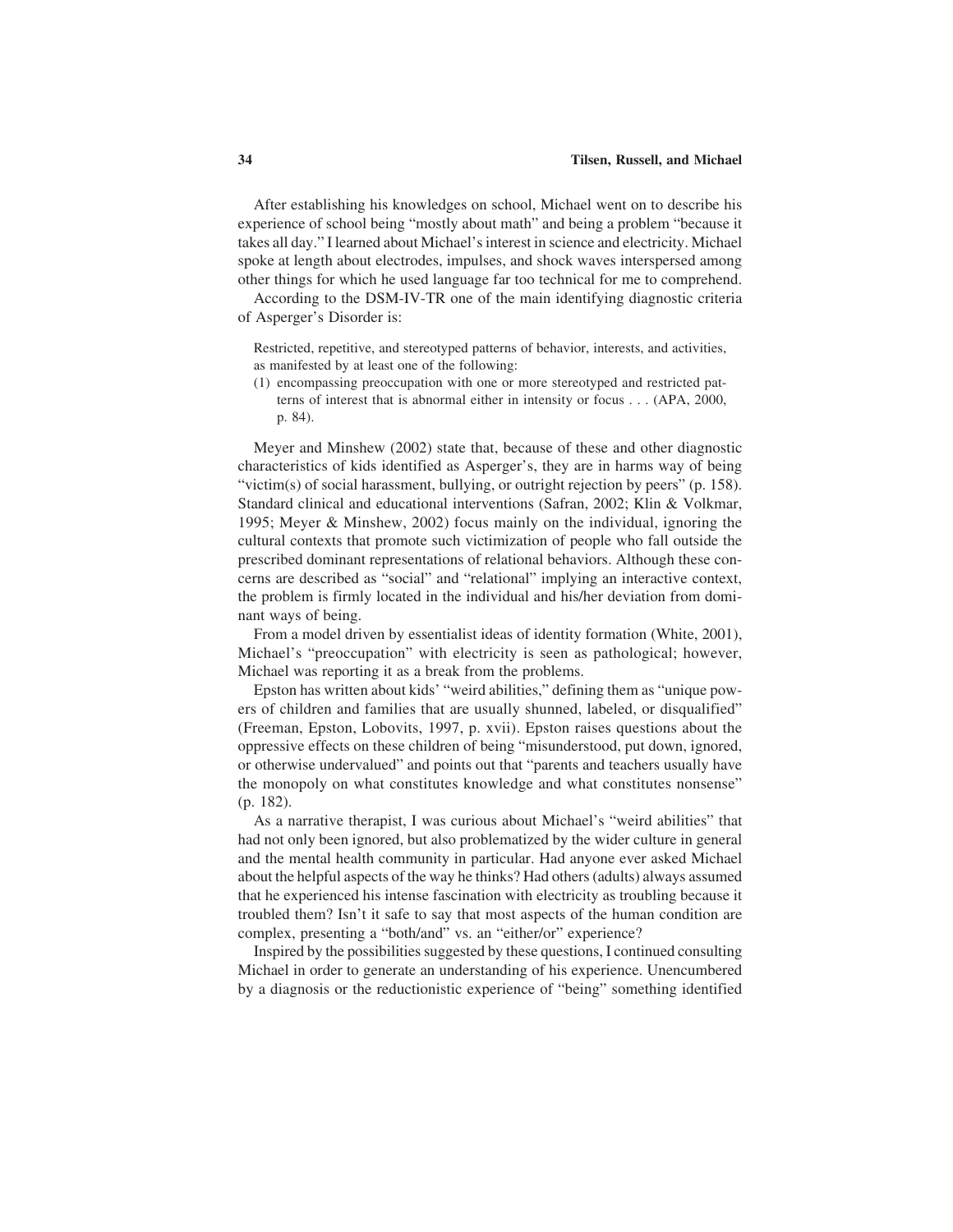#### **34 Tilsen, Russell, and Michael**

After establishing his knowledges on school, Michael went on to describe his experience of school being "mostly about math" and being a problem "because it takes all day." I learned about Michael's interest in science and electricity. Michael spoke at length about electrodes, impulses, and shock waves interspersed among other things for which he used language far too technical for me to comprehend.

According to the DSM-IV-TR one of the main identifying diagnostic criteria of Asperger's Disorder is:

Restricted, repetitive, and stereotyped patterns of behavior, interests, and activities, as manifested by at least one of the following:

(1) encompassing preoccupation with one or more stereotyped and restricted patterns of interest that is abnormal either in intensity or focus . . . (APA, 2000, p. 84).

Meyer and Minshew (2002) state that, because of these and other diagnostic characteristics of kids identified as Asperger's, they are in harms way of being "victim(s) of social harassment, bullying, or outright rejection by peers" (p. 158). Standard clinical and educational interventions (Safran, 2002; Klin & Volkmar, 1995; Meyer & Minshew, 2002) focus mainly on the individual, ignoring the cultural contexts that promote such victimization of people who fall outside the prescribed dominant representations of relational behaviors. Although these concerns are described as "social" and "relational" implying an interactive context, the problem is firmly located in the individual and his/her deviation from dominant ways of being.

From a model driven by essentialist ideas of identity formation (White, 2001), Michael's "preoccupation" with electricity is seen as pathological; however, Michael was reporting it as a break from the problems.

Epston has written about kids' "weird abilities," defining them as "unique powers of children and families that are usually shunned, labeled, or disqualified" (Freeman, Epston, Lobovits, 1997, p. xvii). Epston raises questions about the oppressive effects on these children of being "misunderstood, put down, ignored, or otherwise undervalued" and points out that "parents and teachers usually have the monopoly on what constitutes knowledge and what constitutes nonsense" (p. 182).

As a narrative therapist, I was curious about Michael's "weird abilities" that had not only been ignored, but also problematized by the wider culture in general and the mental health community in particular. Had anyone ever asked Michael about the helpful aspects of the way he thinks? Had others (adults) always assumed that he experienced his intense fascination with electricity as troubling because it troubled them? Isn't it safe to say that most aspects of the human condition are complex, presenting a "both/and" vs. an "either/or" experience?

Inspired by the possibilities suggested by these questions, I continued consulting Michael in order to generate an understanding of his experience. Unencumbered by a diagnosis or the reductionistic experience of "being" something identified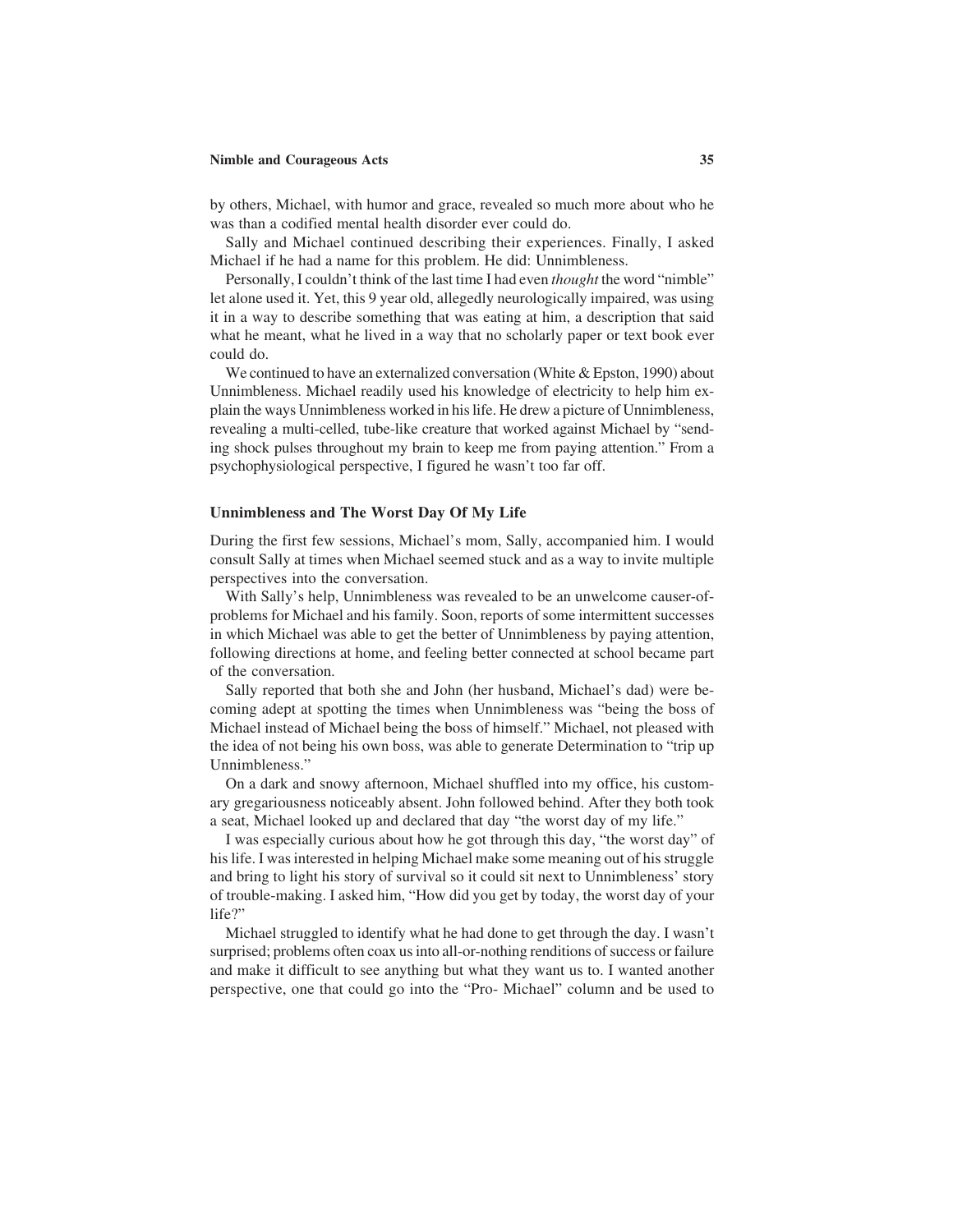by others, Michael, with humor and grace, revealed so much more about who he was than a codified mental health disorder ever could do.

Sally and Michael continued describing their experiences. Finally, I asked Michael if he had a name for this problem. He did: Unnimbleness.

Personally, I couldn't think of the last time I had even *thought* the word "nimble" let alone used it. Yet, this 9 year old, allegedly neurologically impaired, was using it in a way to describe something that was eating at him, a description that said what he meant, what he lived in a way that no scholarly paper or text book ever could do.

We continued to have an externalized conversation (White & Epston, 1990) about Unnimbleness. Michael readily used his knowledge of electricity to help him explain the ways Unnimbleness worked in his life. He drew a picture of Unnimbleness, revealing a multi-celled, tube-like creature that worked against Michael by "sending shock pulses throughout my brain to keep me from paying attention." From a psychophysiological perspective, I figured he wasn't too far off.

#### **Unnimbleness and The Worst Day Of My Life**

During the first few sessions, Michael's mom, Sally, accompanied him. I would consult Sally at times when Michael seemed stuck and as a way to invite multiple perspectives into the conversation.

With Sally's help, Unnimbleness was revealed to be an unwelcome causer-ofproblems for Michael and his family. Soon, reports of some intermittent successes in which Michael was able to get the better of Unnimbleness by paying attention, following directions at home, and feeling better connected at school became part of the conversation.

Sally reported that both she and John (her husband, Michael's dad) were becoming adept at spotting the times when Unnimbleness was "being the boss of Michael instead of Michael being the boss of himself." Michael, not pleased with the idea of not being his own boss, was able to generate Determination to "trip up Unnimbleness."

On a dark and snowy afternoon, Michael shuffled into my office, his customary gregariousness noticeably absent. John followed behind. After they both took a seat, Michael looked up and declared that day "the worst day of my life."

I was especially curious about how he got through this day, "the worst day" of his life. I was interested in helping Michael make some meaning out of his struggle and bring to light his story of survival so it could sit next to Unnimbleness' story of trouble-making. I asked him, "How did you get by today, the worst day of your life?"

Michael struggled to identify what he had done to get through the day. I wasn't surprised; problems often coax us into all-or-nothing renditions of success or failure and make it difficult to see anything but what they want us to. I wanted another perspective, one that could go into the "Pro- Michael" column and be used to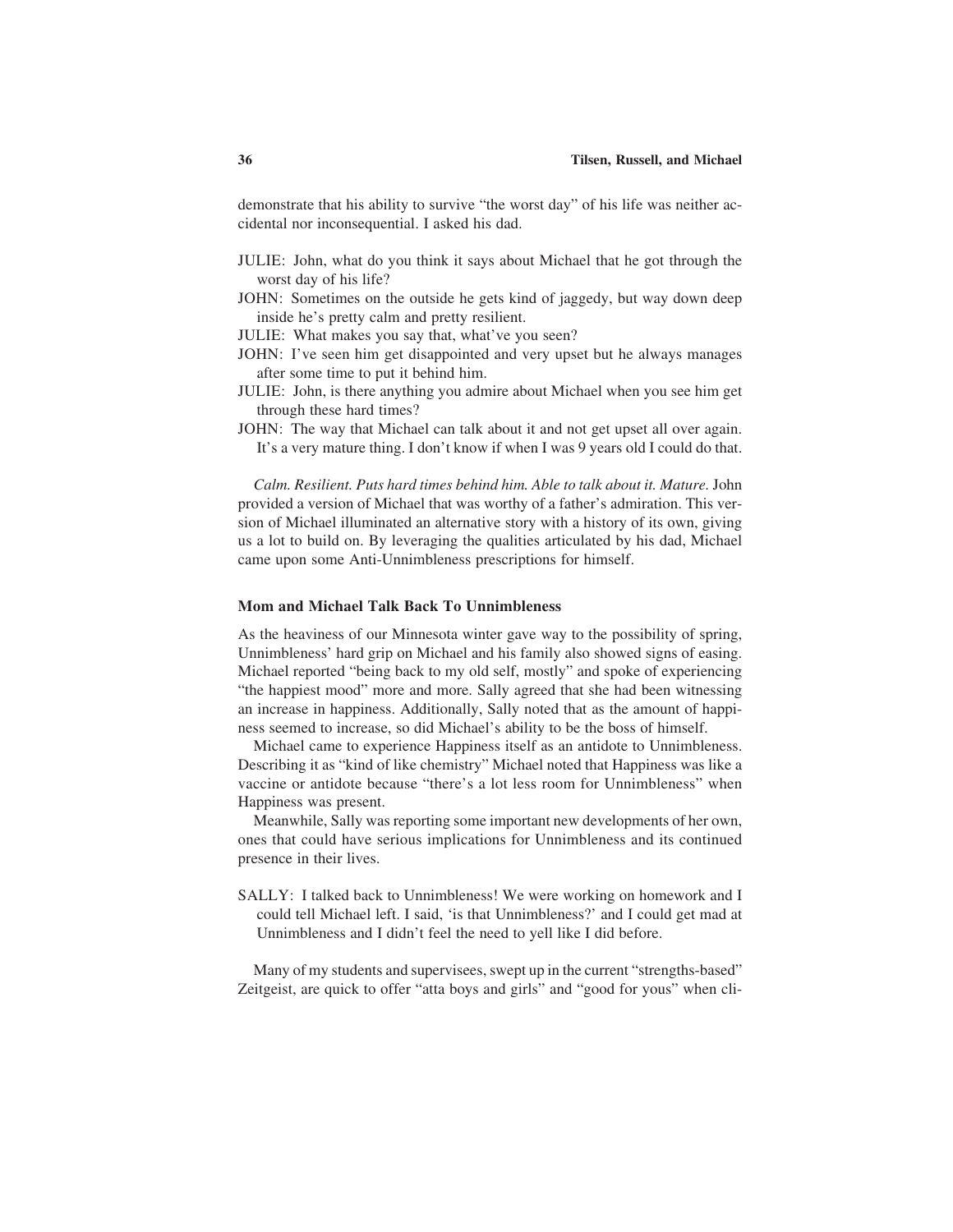demonstrate that his ability to survive "the worst day" of his life was neither accidental nor inconsequential. I asked his dad.

- JULIE: John, what do you think it says about Michael that he got through the worst day of his life?
- JOHN: Sometimes on the outside he gets kind of jaggedy, but way down deep inside he's pretty calm and pretty resilient.
- JULIE: What makes you say that, what've you seen?
- JOHN: I've seen him get disappointed and very upset but he always manages after some time to put it behind him.
- JULIE: John, is there anything you admire about Michael when you see him get through these hard times?
- JOHN: The way that Michael can talk about it and not get upset all over again. It's a very mature thing. I don't know if when I was 9 years old I could do that.

*Calm. Resilient. Puts hard times behind him. Able to talk about it. Mature.* John provided a version of Michael that was worthy of a father's admiration. This version of Michael illuminated an alternative story with a history of its own, giving us a lot to build on. By leveraging the qualities articulated by his dad, Michael came upon some Anti-Unnimbleness prescriptions for himself.

## **Mom and Michael Talk Back To Unnimbleness**

As the heaviness of our Minnesota winter gave way to the possibility of spring, Unnimbleness' hard grip on Michael and his family also showed signs of easing. Michael reported "being back to my old self, mostly" and spoke of experiencing "the happiest mood" more and more. Sally agreed that she had been witnessing an increase in happiness. Additionally, Sally noted that as the amount of happiness seemed to increase, so did Michael's ability to be the boss of himself.

Michael came to experience Happiness itself as an antidote to Unnimbleness. Describing it as "kind of like chemistry" Michael noted that Happiness was like a vaccine or antidote because "there's a lot less room for Unnimbleness" when Happiness was present.

Meanwhile, Sally was reporting some important new developments of her own, ones that could have serious implications for Unnimbleness and its continued presence in their lives.

SALLY: I talked back to Unnimbleness! We were working on homework and I could tell Michael left. I said, 'is that Unnimbleness?' and I could get mad at Unnimbleness and I didn't feel the need to yell like I did before.

Many of my students and supervisees, swept up in the current "strengths-based" Zeitgeist, are quick to offer "atta boys and girls" and "good for yous" when cli-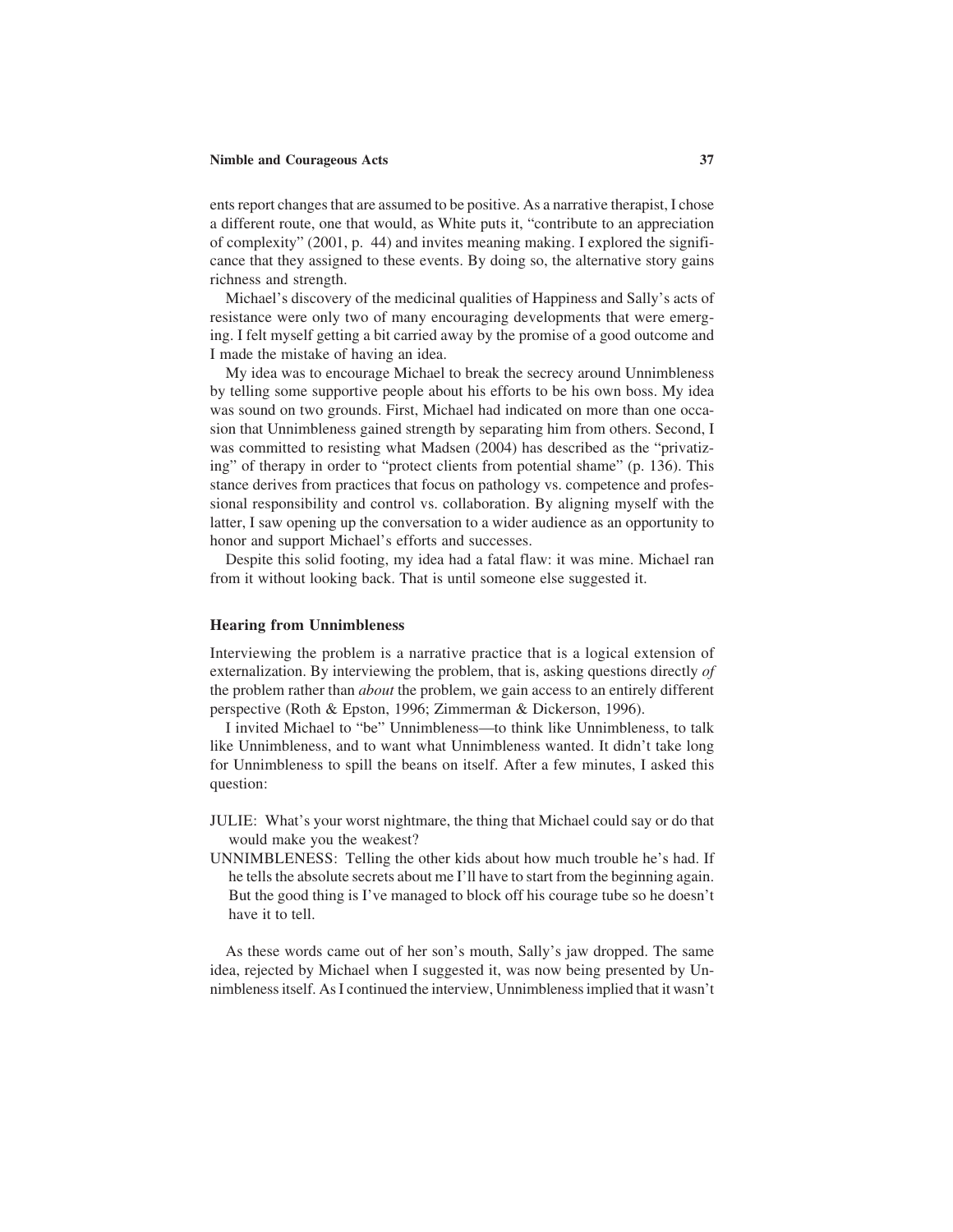ents report changes that are assumed to be positive. As a narrative therapist, I chose a different route, one that would, as White puts it, "contribute to an appreciation of complexity" (2001, p. 44) and invites meaning making. I explored the significance that they assigned to these events. By doing so, the alternative story gains richness and strength.

Michael's discovery of the medicinal qualities of Happiness and Sally's acts of resistance were only two of many encouraging developments that were emerging. I felt myself getting a bit carried away by the promise of a good outcome and I made the mistake of having an idea.

My idea was to encourage Michael to break the secrecy around Unnimbleness by telling some supportive people about his efforts to be his own boss. My idea was sound on two grounds. First, Michael had indicated on more than one occasion that Unnimbleness gained strength by separating him from others. Second, I was committed to resisting what Madsen (2004) has described as the "privatizing" of therapy in order to "protect clients from potential shame" (p. 136). This stance derives from practices that focus on pathology vs. competence and professional responsibility and control vs. collaboration. By aligning myself with the latter, I saw opening up the conversation to a wider audience as an opportunity to honor and support Michael's efforts and successes.

Despite this solid footing, my idea had a fatal flaw: it was mine. Michael ran from it without looking back. That is until someone else suggested it.

#### **Hearing from Unnimbleness**

Interviewing the problem is a narrative practice that is a logical extension of externalization. By interviewing the problem, that is, asking questions directly *of* the problem rather than *about* the problem, we gain access to an entirely different perspective (Roth & Epston, 1996; Zimmerman & Dickerson, 1996).

I invited Michael to "be" Unnimbleness—to think like Unnimbleness, to talk like Unnimbleness, and to want what Unnimbleness wanted. It didn't take long for Unnimbleness to spill the beans on itself. After a few minutes, I asked this question:

- JULIE: What's your worst nightmare, the thing that Michael could say or do that would make you the weakest?
- UNNIMBLENESS: Telling the other kids about how much trouble he's had. If he tells the absolute secrets about me I'll have to start from the beginning again. But the good thing is I've managed to block off his courage tube so he doesn't have it to tell.

As these words came out of her son's mouth, Sally's jaw dropped. The same idea, rejected by Michael when I suggested it, was now being presented by Unnimbleness itself. As I continued the interview, Unnimbleness implied that it wasn't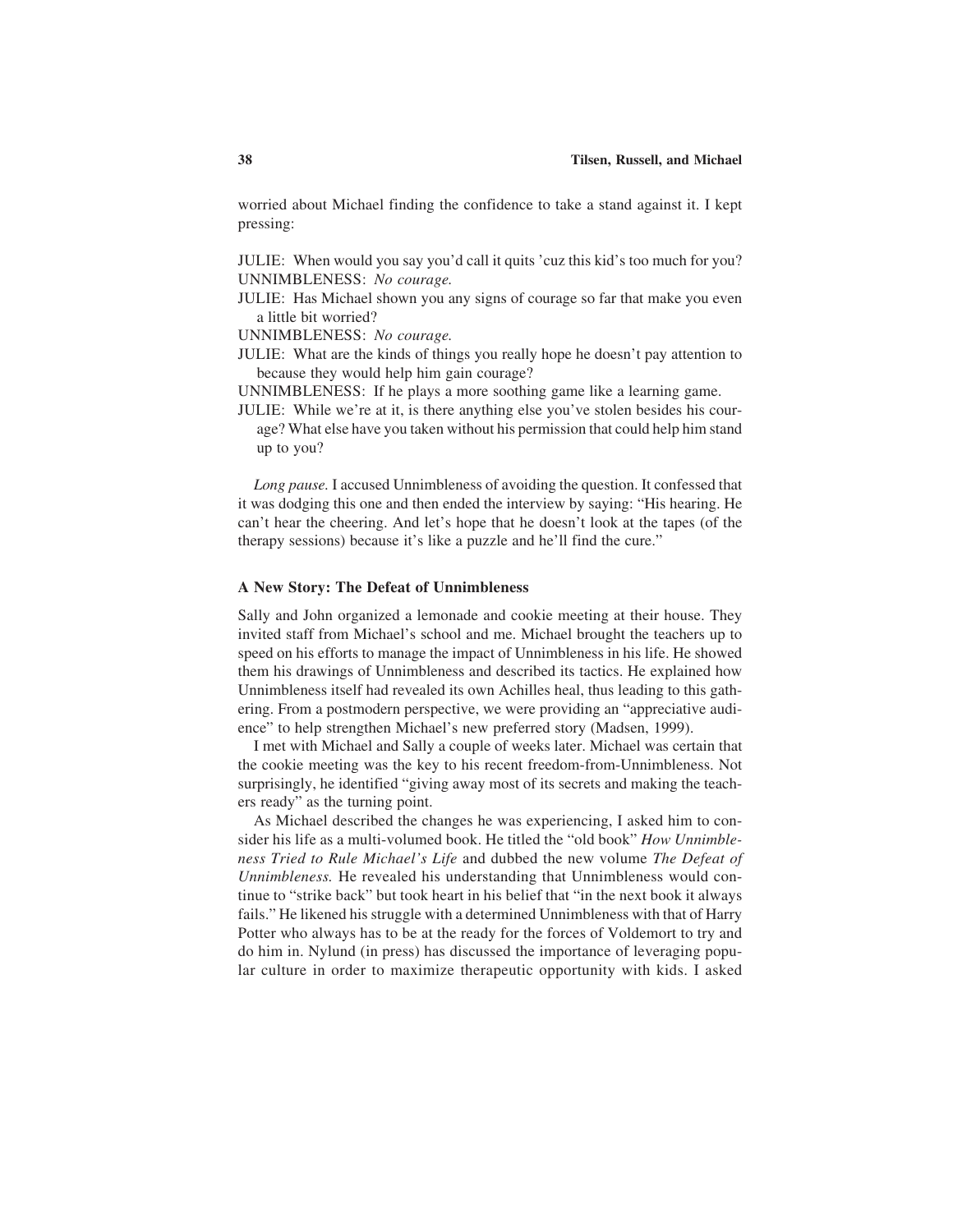worried about Michael finding the confidence to take a stand against it. I kept pressing:

JULIE: When would you say you'd call it quits 'cuz this kid's too much for you? UNNIMBLENESS: *No courage.*

JULIE: Has Michael shown you any signs of courage so far that make you even a little bit worried?

UNNIMBLENESS: *No courage.*

JULIE: What are the kinds of things you really hope he doesn't pay attention to because they would help him gain courage?

UNNIMBLENESS: If he plays a more soothing game like a learning game.

JULIE: While we're at it, is there anything else you've stolen besides his courage? What else have you taken without his permission that could help him stand up to you?

*Long pause.* I accused Unnimbleness of avoiding the question. It confessed that it was dodging this one and then ended the interview by saying: "His hearing. He can't hear the cheering. And let's hope that he doesn't look at the tapes (of the therapy sessions) because it's like a puzzle and he'll find the cure."

#### **A New Story: The Defeat of Unnimbleness**

Sally and John organized a lemonade and cookie meeting at their house. They invited staff from Michael's school and me. Michael brought the teachers up to speed on his efforts to manage the impact of Unnimbleness in his life. He showed them his drawings of Unnimbleness and described its tactics. He explained how Unnimbleness itself had revealed its own Achilles heal, thus leading to this gathering. From a postmodern perspective, we were providing an "appreciative audience" to help strengthen Michael's new preferred story (Madsen, 1999).

I met with Michael and Sally a couple of weeks later. Michael was certain that the cookie meeting was the key to his recent freedom-from-Unnimbleness. Not surprisingly, he identified "giving away most of its secrets and making the teachers ready" as the turning point.

As Michael described the changes he was experiencing, I asked him to consider his life as a multi-volumed book. He titled the "old book" *How Unnimbleness Tried to Rule Michael's Life* and dubbed the new volume *The Defeat of Unnimbleness.* He revealed his understanding that Unnimbleness would continue to "strike back" but took heart in his belief that "in the next book it always fails." He likened his struggle with a determined Unnimbleness with that of Harry Potter who always has to be at the ready for the forces of Voldemort to try and do him in. Nylund (in press) has discussed the importance of leveraging popular culture in order to maximize therapeutic opportunity with kids. I asked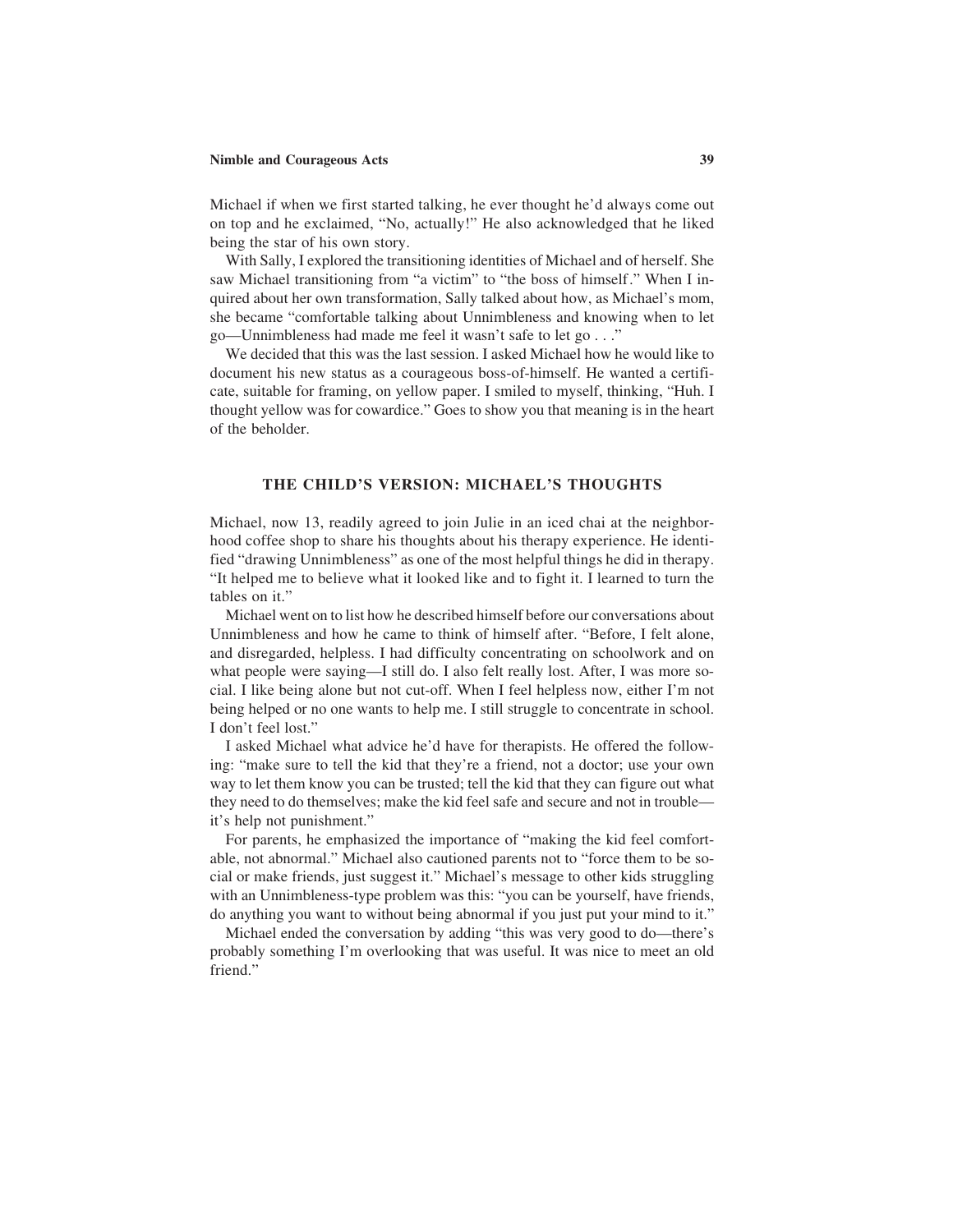Michael if when we first started talking, he ever thought he'd always come out on top and he exclaimed, "No, actually!" He also acknowledged that he liked being the star of his own story.

With Sally, I explored the transitioning identities of Michael and of herself. She saw Michael transitioning from "a victim" to "the boss of himself." When I inquired about her own transformation, Sally talked about how, as Michael's mom, she became "comfortable talking about Unnimbleness and knowing when to let go—Unnimbleness had made me feel it wasn't safe to let go . . ."

We decided that this was the last session. I asked Michael how he would like to document his new status as a courageous boss-of-himself. He wanted a certificate, suitable for framing, on yellow paper. I smiled to myself, thinking, "Huh. I thought yellow was for cowardice." Goes to show you that meaning is in the heart of the beholder.

#### **THE CHILD'S VERSION: MICHAEL'S THOUGHTS**

Michael, now 13, readily agreed to join Julie in an iced chai at the neighborhood coffee shop to share his thoughts about his therapy experience. He identified "drawing Unnimbleness" as one of the most helpful things he did in therapy. "It helped me to believe what it looked like and to fight it. I learned to turn the tables on it."

Michael went on to list how he described himself before our conversations about Unnimbleness and how he came to think of himself after. "Before, I felt alone, and disregarded, helpless. I had difficulty concentrating on schoolwork and on what people were saying—I still do. I also felt really lost. After, I was more social. I like being alone but not cut-off. When I feel helpless now, either I'm not being helped or no one wants to help me. I still struggle to concentrate in school. I don't feel lost."

I asked Michael what advice he'd have for therapists. He offered the following: "make sure to tell the kid that they're a friend, not a doctor; use your own way to let them know you can be trusted; tell the kid that they can figure out what they need to do themselves; make the kid feel safe and secure and not in trouble it's help not punishment."

For parents, he emphasized the importance of "making the kid feel comfortable, not abnormal." Michael also cautioned parents not to "force them to be social or make friends, just suggest it." Michael's message to other kids struggling with an Unnimbleness-type problem was this: "you can be yourself, have friends, do anything you want to without being abnormal if you just put your mind to it."

Michael ended the conversation by adding "this was very good to do—there's probably something I'm overlooking that was useful. It was nice to meet an old friend."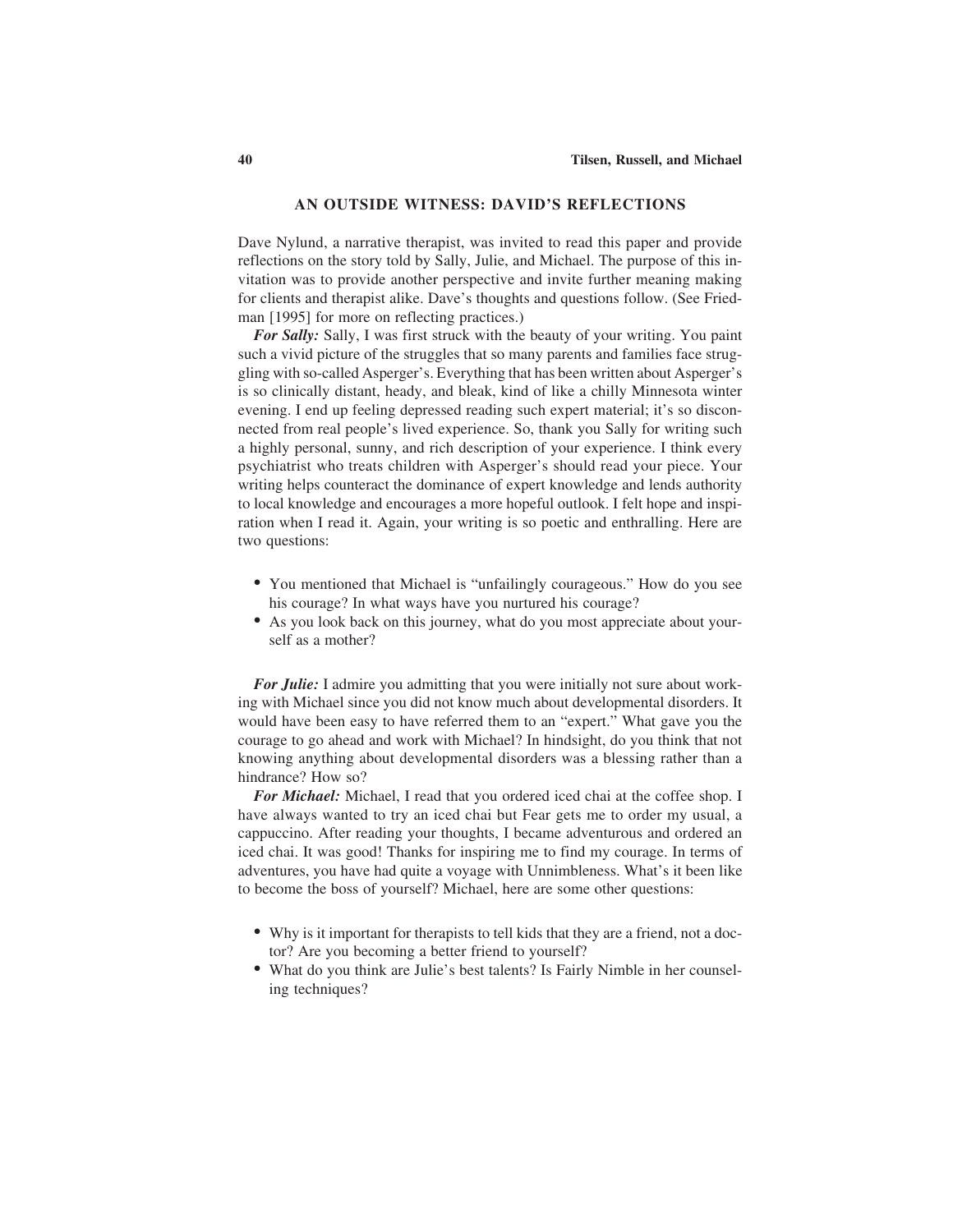#### **AN OUTSIDE WITNESS: DAVID'S REFLECTIONS**

Dave Nylund, a narrative therapist, was invited to read this paper and provide reflections on the story told by Sally, Julie, and Michael. The purpose of this invitation was to provide another perspective and invite further meaning making for clients and therapist alike. Dave's thoughts and questions follow. (See Friedman [1995] for more on reflecting practices.)

*For Sally:* Sally, I was first struck with the beauty of your writing. You paint such a vivid picture of the struggles that so many parents and families face struggling with so-called Asperger's. Everything that has been written about Asperger's is so clinically distant, heady, and bleak, kind of like a chilly Minnesota winter evening. I end up feeling depressed reading such expert material; it's so disconnected from real people's lived experience. So, thank you Sally for writing such a highly personal, sunny, and rich description of your experience. I think every psychiatrist who treats children with Asperger's should read your piece. Your writing helps counteract the dominance of expert knowledge and lends authority to local knowledge and encourages a more hopeful outlook. I felt hope and inspiration when I read it. Again, your writing is so poetic and enthralling. Here are two questions:

- You mentioned that Michael is "unfailingly courageous." How do you see his courage? In what ways have you nurtured his courage?
- As you look back on this journey, what do you most appreciate about yourself as a mother?

*For Julie:* I admire you admitting that you were initially not sure about working with Michael since you did not know much about developmental disorders. It would have been easy to have referred them to an "expert." What gave you the courage to go ahead and work with Michael? In hindsight, do you think that not knowing anything about developmental disorders was a blessing rather than a hindrance? How so?

*For Michael:* Michael, I read that you ordered iced chai at the coffee shop. I have always wanted to try an iced chai but Fear gets me to order my usual, a cappuccino. After reading your thoughts, I became adventurous and ordered an iced chai. It was good! Thanks for inspiring me to find my courage. In terms of adventures, you have had quite a voyage with Unnimbleness. What's it been like to become the boss of yourself? Michael, here are some other questions:

- Why is it important for therapists to tell kids that they are a friend, not a doctor? Are you becoming a better friend to yourself?
- What do you think are Julie's best talents? Is Fairly Nimble in her counseling techniques?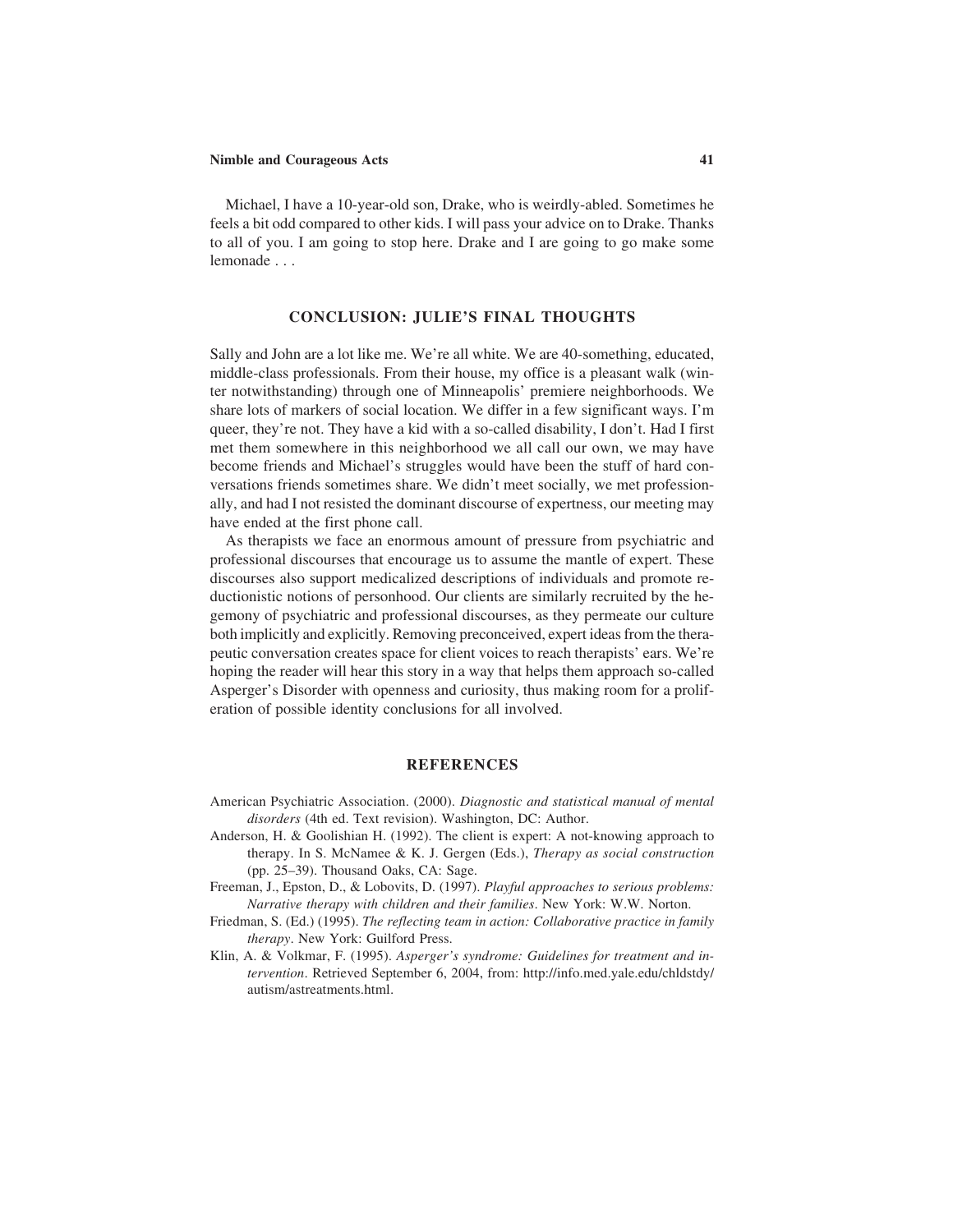Michael, I have a 10-year-old son, Drake, who is weirdly-abled. Sometimes he feels a bit odd compared to other kids. I will pass your advice on to Drake. Thanks to all of you. I am going to stop here. Drake and I are going to go make some lemonade . . .

## **CONCLUSION: JULIE'S FINAL THOUGHTS**

Sally and John are a lot like me. We're all white. We are 40-something, educated, middle-class professionals. From their house, my office is a pleasant walk (winter notwithstanding) through one of Minneapolis' premiere neighborhoods. We share lots of markers of social location. We differ in a few significant ways. I'm queer, they're not. They have a kid with a so-called disability, I don't. Had I first met them somewhere in this neighborhood we all call our own, we may have become friends and Michael's struggles would have been the stuff of hard conversations friends sometimes share. We didn't meet socially, we met professionally, and had I not resisted the dominant discourse of expertness, our meeting may have ended at the first phone call.

As therapists we face an enormous amount of pressure from psychiatric and professional discourses that encourage us to assume the mantle of expert. These discourses also support medicalized descriptions of individuals and promote reductionistic notions of personhood. Our clients are similarly recruited by the hegemony of psychiatric and professional discourses, as they permeate our culture both implicitly and explicitly. Removing preconceived, expert ideas from the therapeutic conversation creates space for client voices to reach therapists' ears. We're hoping the reader will hear this story in a way that helps them approach so-called Asperger's Disorder with openness and curiosity, thus making room for a proliferation of possible identity conclusions for all involved.

#### **REFERENCES**

- American Psychiatric Association. (2000). *Diagnostic and statistical manual of mental disorders* (4th ed. Text revision). Washington, DC: Author.
- Anderson, H. & Goolishian H. (1992). The client is expert: A not-knowing approach to therapy. In S. McNamee & K. J. Gergen (Eds.), *Therapy as social construction* (pp. 25–39). Thousand Oaks, CA: Sage.
- Freeman, J., Epston, D., & Lobovits, D. (1997). *Playful approaches to serious problems: Narrative therapy with children and their families*. New York: W.W. Norton.
- Friedman, S. (Ed.) (1995). *The reflecting team in action: Collaborative practice in family therapy*. New York: Guilford Press.
- Klin, A. & Volkmar, F. (1995). *Asperger's syndrome: Guidelines for treatment and intervention*. Retrieved September 6, 2004, from: http://info.med.yale.edu/chldstdy/ autism/astreatments.html.